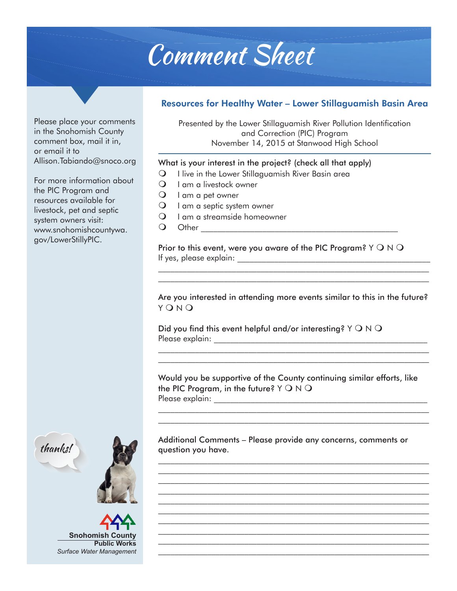## Comment Sheet

## Resources for Healthy Water – Lower Stillaguamish Basin Area

Presented by the Lower Stillaguamish River Pollution Identification and Correction (PIC) Program November 14, 2015 at Stanwood High School

## What is your interest in the project? (check all that apply)

- $\Omega$  I live in the Lower Stillaguamish River Basin area
- $\bigcirc$  I am a livestock owner
- $\bigcirc$  I am a pet owner
- $\mathsf{Q}$  I am a septic system owner
- $\Omega$  I am a streamside homeowner
- **O** Other **Definition**

Prior to this event, were you aware of the PIC Program? Y  $\bigcirc$  N  $\bigcirc$ If yes, please explain: \_\_\_\_\_\_\_\_\_\_\_\_\_\_\_\_\_\_\_\_\_\_\_\_\_\_\_\_\_\_\_\_\_\_\_\_\_\_\_\_\_\_\_\_\_\_\_

Are you interested in attending more events similar to this in the future?  $Y$  O  $N$  O

 $\overline{\phantom{a}}$  , and the contribution of the contribution of the contribution of the contribution of the contribution of the contribution of the contribution of the contribution of the contribution of the contribution of the

Did you find this event helpful and/or interesting?  $Y \bigcirc N \bigcirc$ Please explain:  $\Box$ 

Would you be supportive of the County continuing similar efforts, like the PIC Program, in the future?  $Y \bigcirc N \bigcirc$ Please explain: \_\_\_\_\_\_\_\_\_\_\_\_\_\_\_\_\_\_\_\_\_\_\_\_\_\_\_\_\_\_\_\_\_\_\_\_\_\_\_\_\_\_\_\_\_\_\_\_\_\_\_\_

 $\overline{\phantom{a}}$  , and the contribution of the contribution of the contribution of the contribution of the contribution of the contribution of the contribution of the contribution of the contribution of the contribution of the  $\mathcal{L}_\text{max} = \frac{1}{2} \sum_{i=1}^n \mathcal{L}_\text{max}(\mathbf{z}_i - \mathbf{z}_i)$ 

 $\mathcal{L}_\text{max} = \frac{1}{2} \sum_{i=1}^n \mathcal{L}_\text{max}(\mathbf{z}_i - \mathbf{z}_i)$ 

 $\mathcal{L}_\text{max} = \frac{1}{2} \sum_{i=1}^n \mathcal{L}_\text{max}(\mathbf{z}_i - \mathbf{z}_i)$  $\mathcal{L}_\text{max} = \frac{1}{2} \sum_{i=1}^n \mathcal{L}_\text{max}(\mathbf{z}_i - \mathbf{z}_i)$ 

 $\overline{\phantom{a}}$  , and the contribution of the contribution of the contribution of the contribution of the contribution of the contribution of the contribution of the contribution of the contribution of the contribution of the  $\mathcal{L}_\text{max} = \frac{1}{2} \sum_{i=1}^n \mathcal{L}_\text{max}(\mathbf{z}_i - \mathbf{z}_i)$  $\mathcal{L}_\text{max} = \frac{1}{2} \sum_{i=1}^n \mathcal{L}_\text{max}(\mathbf{z}_i - \mathbf{z}_i)$  $\overline{\phantom{a}}$  , and the contribution of the contribution of the contribution of the contribution of the contribution of the contribution of the contribution of the contribution of the contribution of the contribution of the

 $\overline{\phantom{a}}$  , and the contribution of the contribution of the contribution of the contribution of the contribution of the contribution of the contribution of the contribution of the contribution of the contribution of the

Additional Comments – Please provide any concerns, comments or question you have.

Please place your comments in the Snohomish County comment box, mail it in, or email it to Allison.Tabiando@snoco.org

For more information about the PIC Program and resources available for livestock, pet and septic system owners visit: www.snohomishcountywa. gov/LowerStillyPIC.





**Snohomish County Public Works** *Surface Water Management*